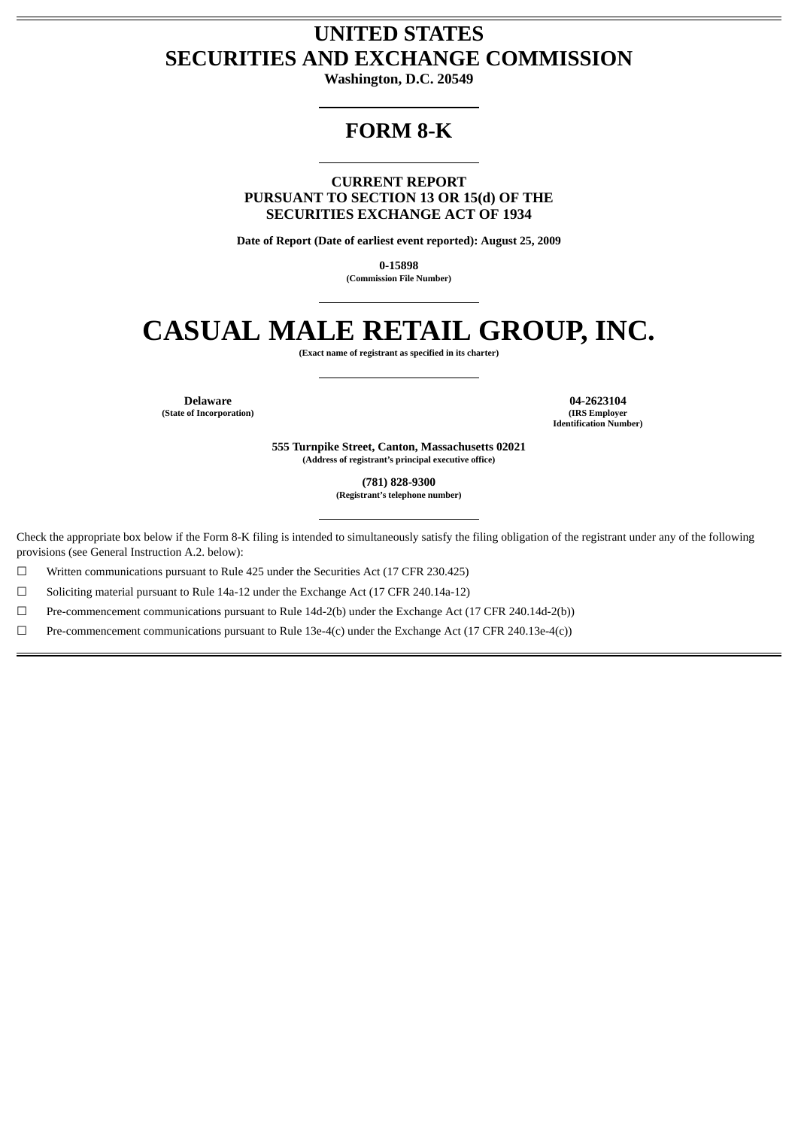# **UNITED STATES SECURITIES AND EXCHANGE COMMISSION**

**Washington, D.C. 20549**

# **FORM 8-K**

**CURRENT REPORT PURSUANT TO SECTION 13 OR 15(d) OF THE SECURITIES EXCHANGE ACT OF 1934**

**Date of Report (Date of earliest event reported): August 25, 2009**

**0-15898 (Commission File Number)**

# **CASUAL MALE RETAIL GROUP, INC.**

**(Exact name of registrant as specified in its charter)**

**(State of Incorporation)** 

**Delaware 04-2623104**<br> **1920 1200**<br> **1920 1930**<br> **1930**<br> **1930**<br> **1930**<br> **1941**<br> **1942623104**<br> **1950 Identification Number)**

> **555 Turnpike Street, Canton, Massachusetts 02021 (Address of registrant's principal executive office)**

> > **(781) 828-9300**

**(Registrant's telephone number)**

Check the appropriate box below if the Form 8-K filing is intended to simultaneously satisfy the filing obligation of the registrant under any of the following provisions (see General Instruction A.2. below):

☐ Written communications pursuant to Rule 425 under the Securities Act (17 CFR 230.425)

☐ Soliciting material pursuant to Rule 14a-12 under the Exchange Act (17 CFR 240.14a-12)

☐ Pre-commencement communications pursuant to Rule 14d-2(b) under the Exchange Act (17 CFR 240.14d-2(b))

☐ Pre-commencement communications pursuant to Rule 13e-4(c) under the Exchange Act (17 CFR 240.13e-4(c))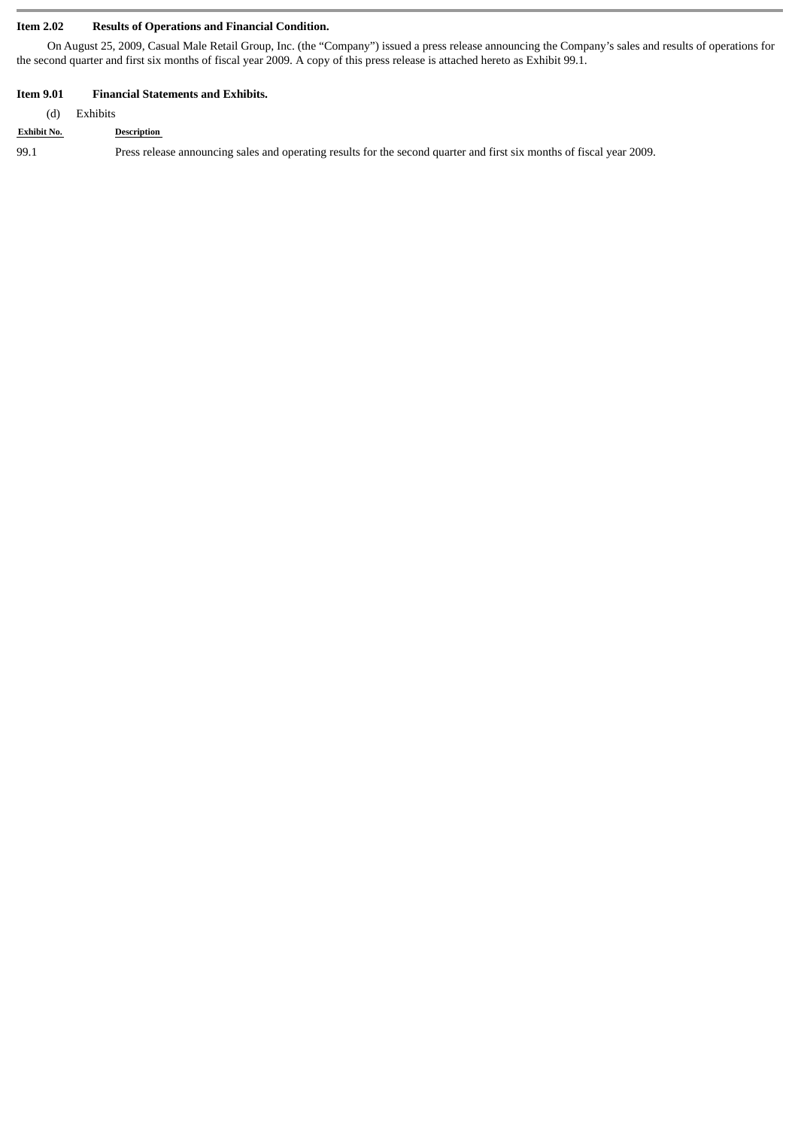# **Item 2.02 Results of Operations and Financial Condition.**

On August 25, 2009, Casual Male Retail Group, Inc. (the "Company") issued a press release announcing the Company's sales and results of operations for the second quarter and first six months of fiscal year 2009. A copy of this press release is attached hereto as Exhibit 99.1.

# **Item 9.01 Financial Statements and Exhibits.**

| (d)                | Exhibits                                                                                                              |  |  |  |  |
|--------------------|-----------------------------------------------------------------------------------------------------------------------|--|--|--|--|
| <b>Exhibit No.</b> | Description                                                                                                           |  |  |  |  |
| -99.1              | Press release announcing sales and operating results for the second quarter and first six months of fiscal year 2009. |  |  |  |  |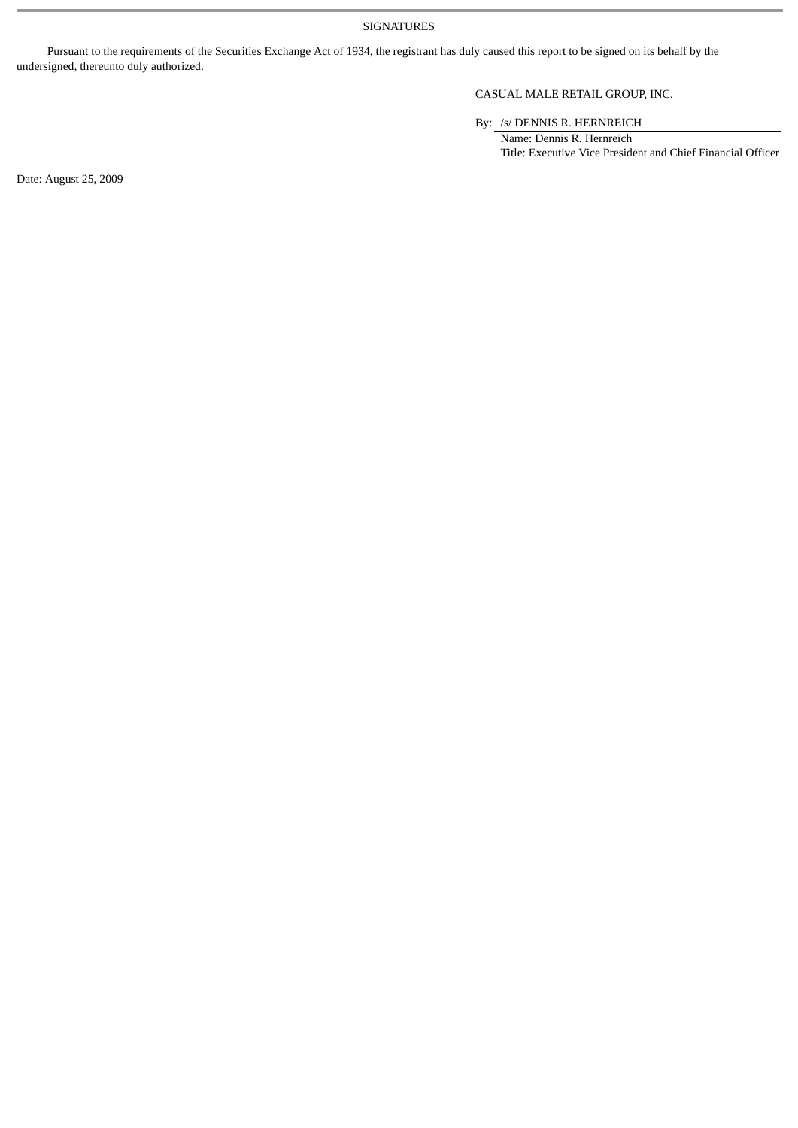SIGNATURES

Pursuant to the requirements of the Securities Exchange Act of 1934, the registrant has duly caused this report to be signed on its behalf by the undersigned, thereunto duly authorized.

# CASUAL MALE RETAIL GROUP, INC.

By: /s/ DENNIS R. HERNREICH

Name: Dennis R. Hernreich Title: Executive Vice President and Chief Financial Officer

Date: August 25, 2009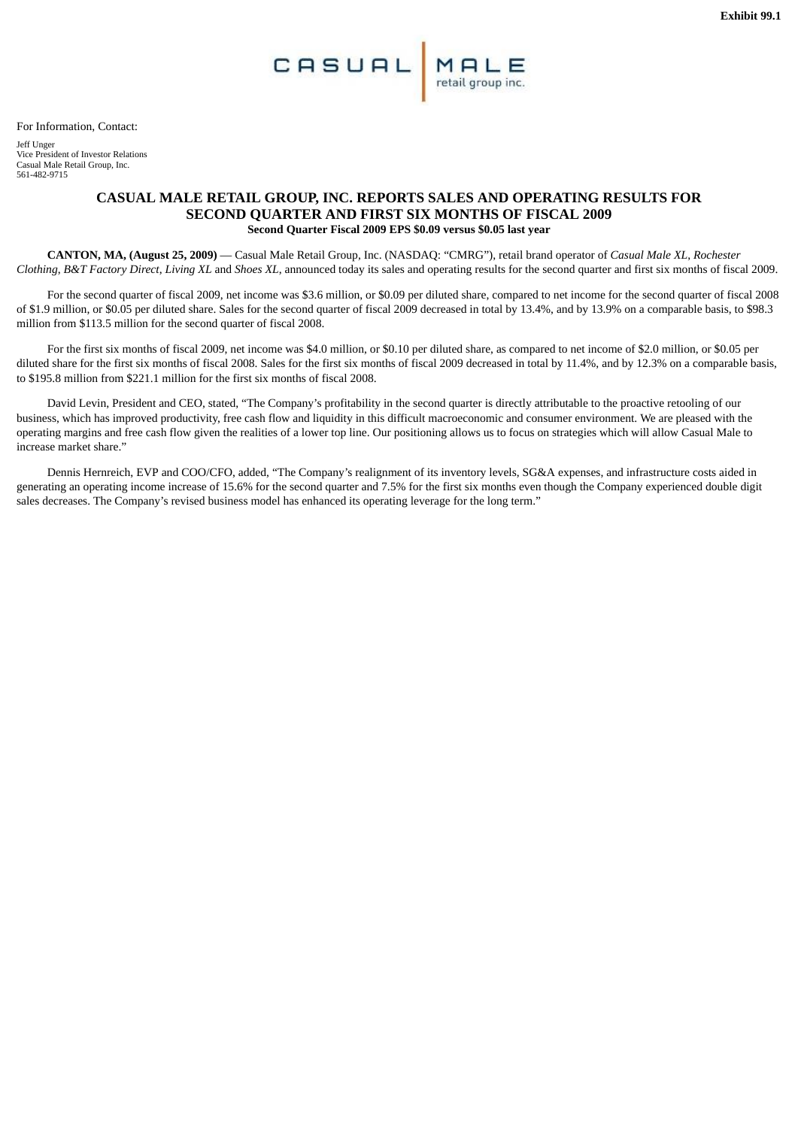For Information, Contact:

Jeff Unger Vice President of Investor Relations Casual Male Retail Group, Inc. 561-482-9715

# **CASUAL MALE RETAIL GROUP, INC. REPORTS SALES AND OPERATING RESULTS FOR SECOND QUARTER AND FIRST SIX MONTHS OF FISCAL 2009 Second Quarter Fiscal 2009 EPS \$0.09 versus \$0.05 last year**

**CANTON, MA, (August 25, 2009)** — Casual Male Retail Group, Inc. (NASDAQ: "CMRG"), retail brand operator of *Casual Male XL*, *Rochester Clothing*, *B&T Factory Direct*, *Living XL* and *Shoes XL*, announced today its sales and operating results for the second quarter and first six months of fiscal 2009.

For the second quarter of fiscal 2009, net income was \$3.6 million, or \$0.09 per diluted share, compared to net income for the second quarter of fiscal 2008 of \$1.9 million, or \$0.05 per diluted share. Sales for the second quarter of fiscal 2009 decreased in total by 13.4%, and by 13.9% on a comparable basis, to \$98.3 million from \$113.5 million for the second quarter of fiscal 2008.

For the first six months of fiscal 2009, net income was \$4.0 million, or \$0.10 per diluted share, as compared to net income of \$2.0 million, or \$0.05 per diluted share for the first six months of fiscal 2008. Sales for the first six months of fiscal 2009 decreased in total by 11.4%, and by 12.3% on a comparable basis, to \$195.8 million from \$221.1 million for the first six months of fiscal 2008.

David Levin, President and CEO, stated, "The Company's profitability in the second quarter is directly attributable to the proactive retooling of our business, which has improved productivity, free cash flow and liquidity in this difficult macroeconomic and consumer environment. We are pleased with the operating margins and free cash flow given the realities of a lower top line. Our positioning allows us to focus on strategies which will allow Casual Male to increase market share."

Dennis Hernreich, EVP and COO/CFO, added, "The Company's realignment of its inventory levels, SG&A expenses, and infrastructure costs aided in generating an operating income increase of 15.6% for the second quarter and 7.5% for the first six months even though the Company experienced double digit sales decreases. The Company's revised business model has enhanced its operating leverage for the long term."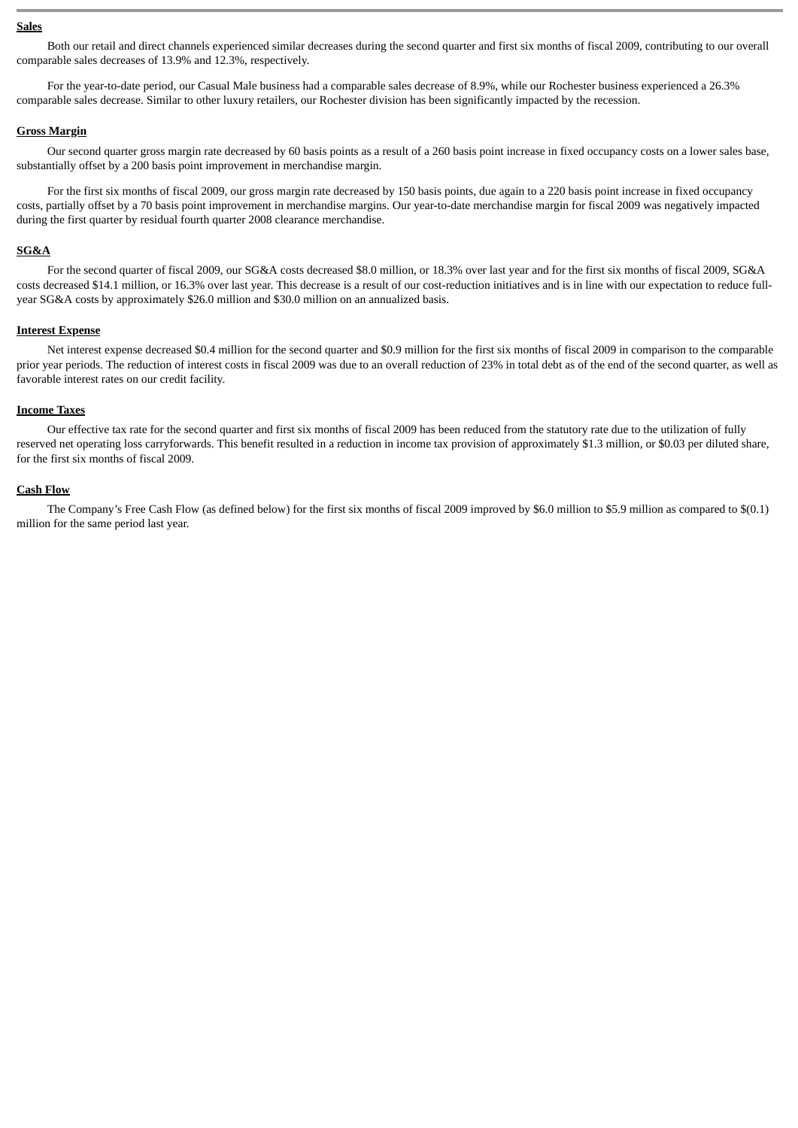#### **Sales**

Both our retail and direct channels experienced similar decreases during the second quarter and first six months of fiscal 2009, contributing to our overall comparable sales decreases of 13.9% and 12.3%, respectively.

For the year-to-date period, our Casual Male business had a comparable sales decrease of 8.9%, while our Rochester business experienced a 26.3% comparable sales decrease. Similar to other luxury retailers, our Rochester division has been significantly impacted by the recession.

#### **Gross Margin**

Our second quarter gross margin rate decreased by 60 basis points as a result of a 260 basis point increase in fixed occupancy costs on a lower sales base, substantially offset by a 200 basis point improvement in merchandise margin.

For the first six months of fiscal 2009, our gross margin rate decreased by 150 basis points, due again to a 220 basis point increase in fixed occupancy costs, partially offset by a 70 basis point improvement in merchandise margins. Our year-to-date merchandise margin for fiscal 2009 was negatively impacted during the first quarter by residual fourth quarter 2008 clearance merchandise.

#### **SG&A**

For the second quarter of fiscal 2009, our SG&A costs decreased \$8.0 million, or 18.3% over last year and for the first six months of fiscal 2009, SG&A costs decreased \$14.1 million, or 16.3% over last year. This decrease is a result of our cost-reduction initiatives and is in line with our expectation to reduce fullyear SG&A costs by approximately \$26.0 million and \$30.0 million on an annualized basis.

#### **Interest Expense**

Net interest expense decreased \$0.4 million for the second quarter and \$0.9 million for the first six months of fiscal 2009 in comparison to the comparable prior year periods. The reduction of interest costs in fiscal 2009 was due to an overall reduction of 23% in total debt as of the end of the second quarter, as well as favorable interest rates on our credit facility.

#### **Income Taxes**

Our effective tax rate for the second quarter and first six months of fiscal 2009 has been reduced from the statutory rate due to the utilization of fully reserved net operating loss carryforwards. This benefit resulted in a reduction in income tax provision of approximately \$1.3 million, or \$0.03 per diluted share, for the first six months of fiscal 2009.

#### **Cash Flow**

The Company's Free Cash Flow (as defined below) for the first six months of fiscal 2009 improved by \$6.0 million to \$5.9 million as compared to \$(0.1) million for the same period last year.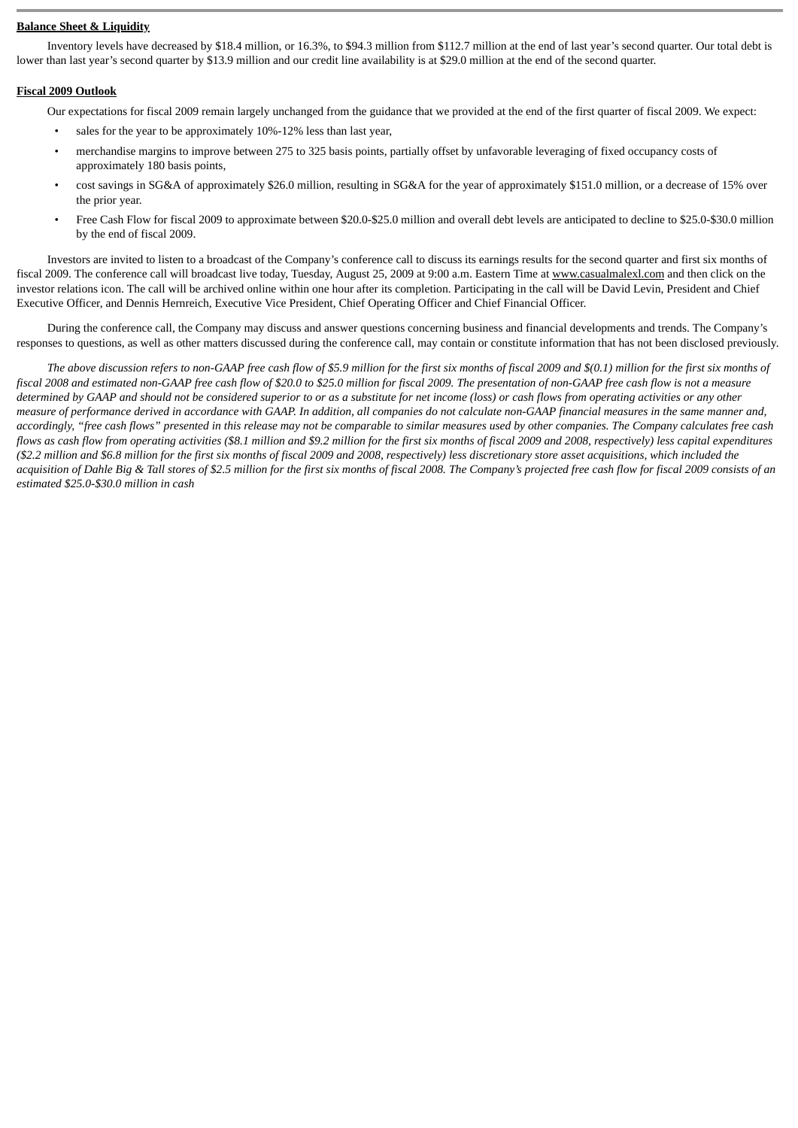## **Balance Sheet & Liquidity**

Inventory levels have decreased by \$18.4 million, or 16.3%, to \$94.3 million from \$112.7 million at the end of last year's second quarter. Our total debt is lower than last year's second quarter by \$13.9 million and our credit line availability is at \$29.0 million at the end of the second quarter.

## **Fiscal 2009 Outlook**

Our expectations for fiscal 2009 remain largely unchanged from the guidance that we provided at the end of the first quarter of fiscal 2009. We expect:

- sales for the year to be approximately 10%-12% less than last year,
- merchandise margins to improve between 275 to 325 basis points, partially offset by unfavorable leveraging of fixed occupancy costs of approximately 180 basis points,
- cost savings in SG&A of approximately \$26.0 million, resulting in SG&A for the year of approximately \$151.0 million, or a decrease of 15% over the prior year.
- Free Cash Flow for fiscal 2009 to approximate between \$20.0-\$25.0 million and overall debt levels are anticipated to decline to \$25.0-\$30.0 million by the end of fiscal 2009.

Investors are invited to listen to a broadcast of the Company's conference call to discuss its earnings results for the second quarter and first six months of fiscal 2009. The conference call will broadcast live today, Tuesday, August 25, 2009 at 9:00 a.m. Eastern Time at www.casualmalexl.com and then click on the investor relations icon. The call will be archived online within one hour after its completion. Participating in the call will be David Levin, President and Chief Executive Officer, and Dennis Hernreich, Executive Vice President, Chief Operating Officer and Chief Financial Officer.

During the conference call, the Company may discuss and answer questions concerning business and financial developments and trends. The Company's responses to questions, as well as other matters discussed during the conference call, may contain or constitute information that has not been disclosed previously.

*The above discussion refers to non-GAAP free cash flow of \$5.9 million for the first six months of fiscal 2009 and \$(0.1) million for the first six months of fiscal 2008 and estimated non-GAAP free cash flow of \$20.0 to \$25.0 million for fiscal 2009. The presentation of non-GAAP free cash flow is not a measure determined by GAAP and should not be considered superior to or as a substitute for net income (loss) or cash flows from operating activities or any other measure of performance derived in accordance with GAAP. In addition, all companies do not calculate non-GAAP financial measures in the same manner and, accordingly, "free cash flows" presented in this release may not be comparable to similar measures used by other companies. The Company calculates free cash flows as cash flow from operating activities (\$8.1 million and \$9.2 million for the first six months of fiscal 2009 and 2008, respectively) less capital expenditures (\$2.2 million and \$6.8 million for the first six months of fiscal 2009 and 2008, respectively) less discretionary store asset acquisitions, which included the acquisition of Dahle Big & Tall stores of \$2.5 million for the first six months of fiscal 2008. The Company's projected free cash flow for fiscal 2009 consists of an estimated \$25.0-\$30.0 million in cash*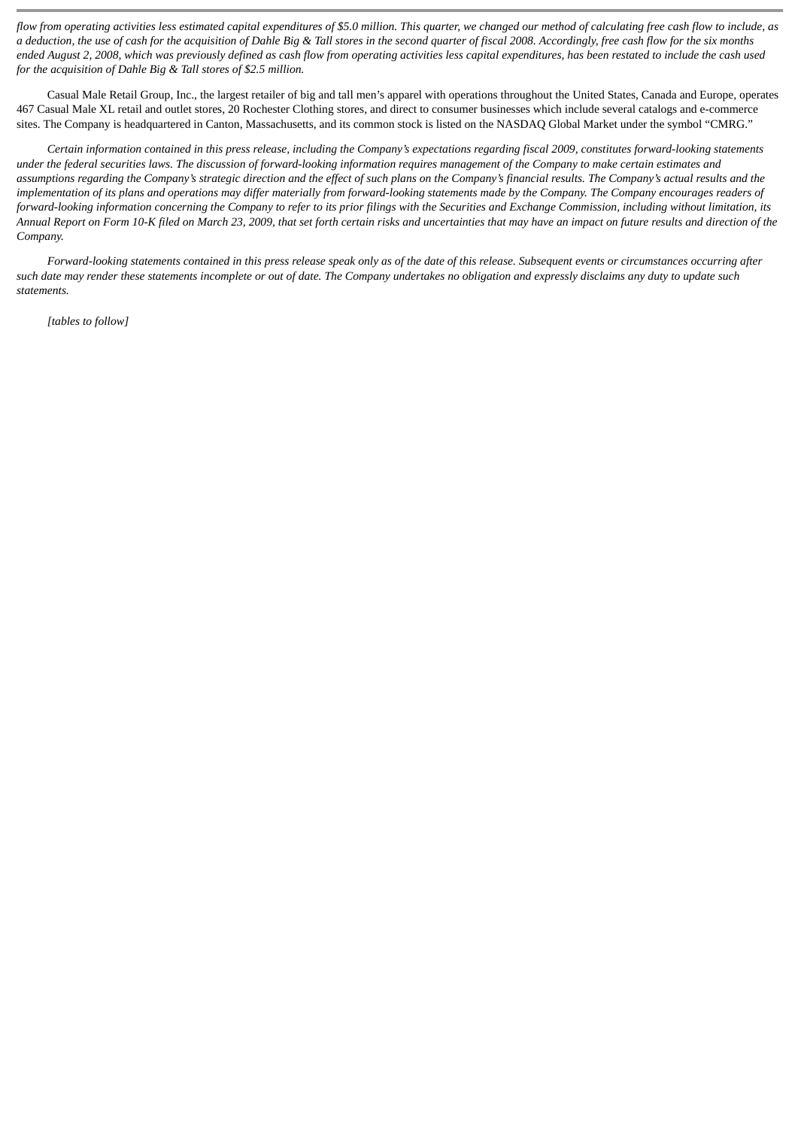*flow from operating activities less estimated capital expenditures of \$5.0 million. This quarter, we changed our method of calculating free cash flow to include, as a deduction, the use of cash for the acquisition of Dahle Big & Tall stores in the second quarter of fiscal 2008. Accordingly, free cash flow for the six months ended August 2, 2008, which was previously defined as cash flow from operating activities less capital expenditures, has been restated to include the cash used for the acquisition of Dahle Big & Tall stores of \$2.5 million.*

Casual Male Retail Group, Inc., the largest retailer of big and tall men's apparel with operations throughout the United States, Canada and Europe, operates 467 Casual Male XL retail and outlet stores, 20 Rochester Clothing stores, and direct to consumer businesses which include several catalogs and e-commerce sites. The Company is headquartered in Canton, Massachusetts, and its common stock is listed on the NASDAQ Global Market under the symbol "CMRG."

*Certain information contained in this press release, including the Company's expectations regarding fiscal 2009, constitutes forward-looking statements under the federal securities laws. The discussion of forward-looking information requires management of the Company to make certain estimates and assumptions regarding the Company's strategic direction and the effect of such plans on the Company's financial results. The Company's actual results and the implementation of its plans and operations may differ materially from forward-looking statements made by the Company. The Company encourages readers of forward-looking information concerning the Company to refer to its prior filings with the Securities and Exchange Commission, including without limitation, its Annual Report on Form 10-K filed on March 23, 2009, that set forth certain risks and uncertainties that may have an impact on future results and direction of the Company.*

*Forward-looking statements contained in this press release speak only as of the date of this release. Subsequent events or circumstances occurring after such date may render these statements incomplete or out of date. The Company undertakes no obligation and expressly disclaims any duty to update such statements.*

*[tables to follow]*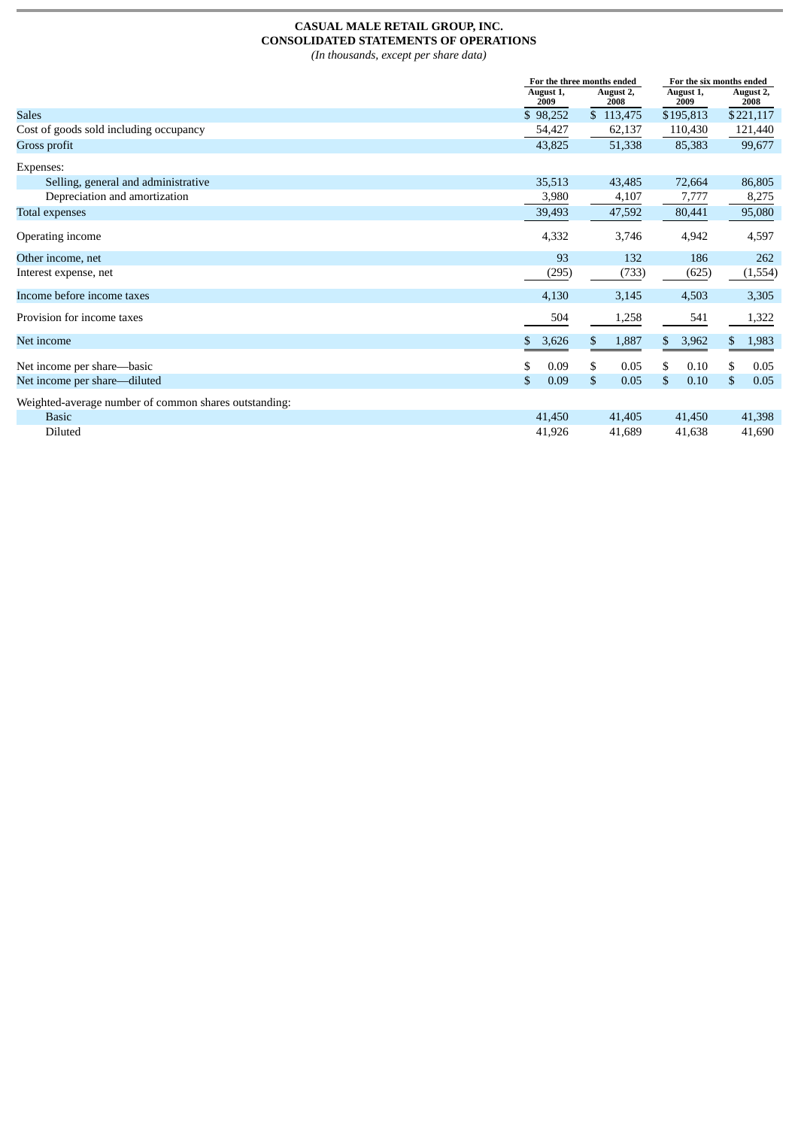# **CASUAL MALE RETAIL GROUP, INC. CONSOLIDATED STATEMENTS OF OPERATIONS**

*(In thousands, except per share data)*

|                                                       |    | For the three months ended |                   |                   | For the six months ended |  |  |
|-------------------------------------------------------|----|----------------------------|-------------------|-------------------|--------------------------|--|--|
|                                                       |    | August 1,<br>2009          | August 2,<br>2008 | August 1,<br>2009 | August 2,<br>2008        |  |  |
| <b>Sales</b>                                          |    | \$98,252                   | \$113,475         | \$195,813         | \$221,117                |  |  |
| Cost of goods sold including occupancy                |    | 54,427                     | 62,137            | 110,430           | 121,440                  |  |  |
| Gross profit                                          |    | 43,825                     | 51,338            | 85,383            | 99,677                   |  |  |
| Expenses:                                             |    |                            |                   |                   |                          |  |  |
| Selling, general and administrative                   |    | 35,513                     | 43,485            | 72,664            | 86,805                   |  |  |
| Depreciation and amortization                         |    | 3,980                      | 4,107             | 7,777             | 8,275                    |  |  |
| Total expenses                                        |    | 39,493                     | 47,592            | 80,441            | 95,080                   |  |  |
| Operating income                                      |    | 4,332                      | 3,746             | 4,942             | 4,597                    |  |  |
| Other income, net                                     |    | 93                         | 132               | 186               | 262                      |  |  |
| Interest expense, net                                 |    | (295)                      | (733)             | (625)             | (1,554)                  |  |  |
| Income before income taxes                            |    | 4,130                      | 3,145             | 4,503             | 3,305                    |  |  |
| Provision for income taxes                            |    | 504                        | 1,258             | 541               | 1,322                    |  |  |
| Net income                                            | \$ | 3,626                      | 1,887<br>\$       | 3,962<br>\$       | 1,983                    |  |  |
| Net income per share—basic                            | S  | 0.09                       | \$<br>0.05        | \$<br>0.10        | 0.05<br>S                |  |  |
| Net income per share—diluted                          | \$ | 0.09                       | \$<br>0.05        | \$<br>0.10        | \$<br>0.05               |  |  |
| Weighted-average number of common shares outstanding: |    |                            |                   |                   |                          |  |  |
| <b>Basic</b>                                          |    | 41,450                     | 41,405            | 41,450            | 41,398                   |  |  |
| <b>Diluted</b>                                        |    | 41,926                     | 41,689            | 41,638            | 41,690                   |  |  |